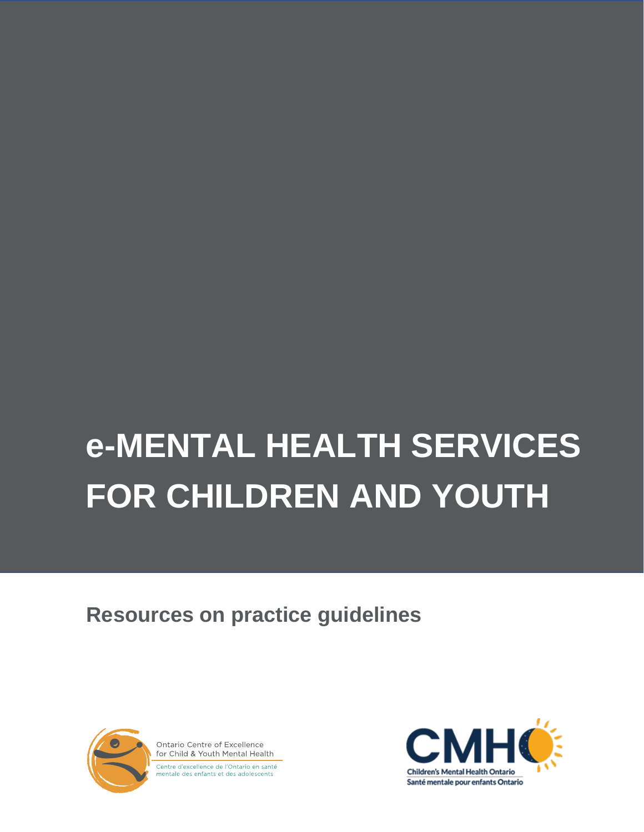# **e-MENTAL HEALTH SERVICES FOR CHILDREN AND YOUTH**

**Resources on practice guidelines**



Ontario Centre of Excellence for Child & Youth Mental Health Centre d'excellence de l'Ontario en santé mentale des enfants et des adolescents

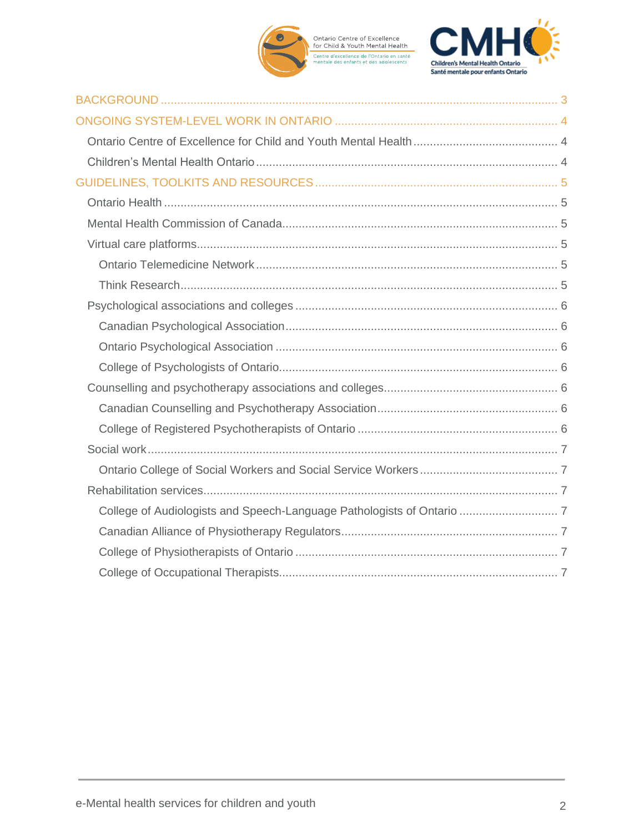

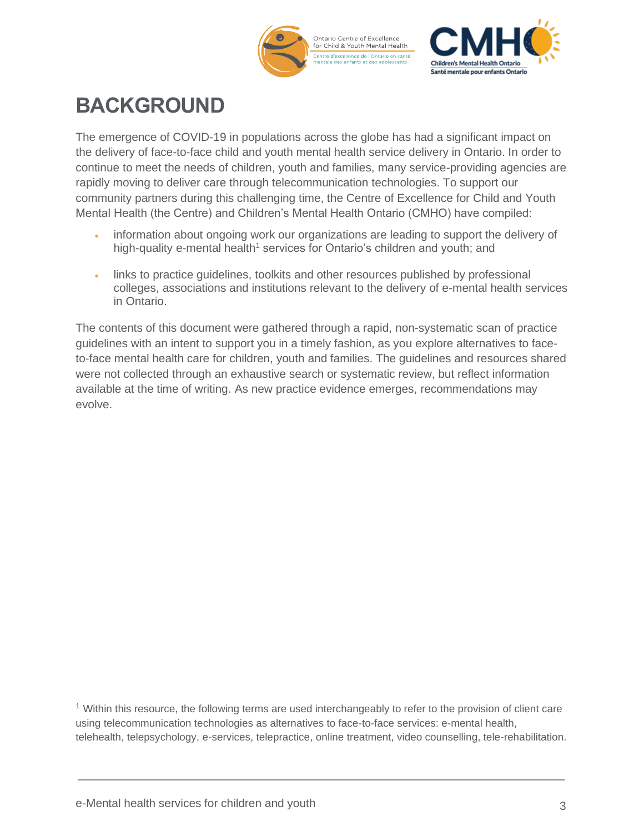



## <span id="page-2-0"></span>**BACKGROUND**

The emergence of COVID-19 in populations across the globe has had a significant impact on the delivery of face-to-face child and youth mental health service delivery in Ontario. In order to continue to meet the needs of children, youth and families, many service-providing agencies are rapidly moving to deliver care through telecommunication technologies. To support our community partners during this challenging time, the Centre of Excellence for Child and Youth Mental Health (the Centre) and Children's Mental Health Ontario (CMHO) have compiled:

- information about ongoing work our organizations are leading to support the delivery of high-quality e-mental health<sup>1</sup> services for Ontario's children and youth; and
- links to practice guidelines, toolkits and other resources published by professional colleges, associations and institutions relevant to the delivery of e-mental health services in Ontario.

The contents of this document were gathered through a rapid, non-systematic scan of practice guidelines with an intent to support you in a timely fashion, as you explore alternatives to faceto-face mental health care for children, youth and families. The guidelines and resources shared were not collected through an exhaustive search or systematic review, but reflect information available at the time of writing. As new practice evidence emerges, recommendations may evolve.

<sup>1</sup> Within this resource, the following terms are used interchangeably to refer to the provision of client care using telecommunication technologies as alternatives to face-to-face services: e-mental health, telehealth, telepsychology, e-services, telepractice, online treatment, video counselling, tele-rehabilitation.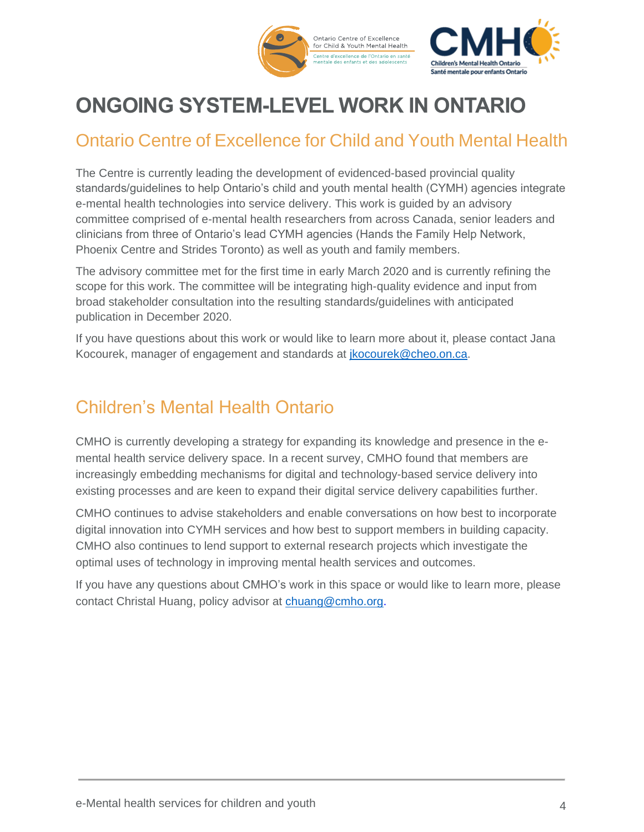

# <span id="page-3-0"></span>**ONGOING SYSTEM-LEVEL WORK IN ONTARIO**

## <span id="page-3-1"></span>Ontario Centre of Excellence for Child and Youth Mental Health

The Centre is currently leading the development of evidenced-based provincial quality standards/guidelines to help Ontario's child and youth mental health (CYMH) agencies integrate e-mental health technologies into service delivery. This work is guided by an advisory committee comprised of e-mental health researchers from across Canada, senior leaders and clinicians from three of Ontario's lead CYMH agencies (Hands the Family Help Network, Phoenix Centre and Strides Toronto) as well as youth and family members.

The advisory committee met for the first time in early March 2020 and is currently refining the scope for this work. The committee will be integrating high-quality evidence and input from broad stakeholder consultation into the resulting standards/guidelines with anticipated publication in December 2020.

If you have questions about this work or would like to learn more about it, please contact Jana Kocourek, manager of engagement and standards at [jkocourek@cheo.on.ca.](mailto:jkocourek@cheo.on.ca)

## <span id="page-3-2"></span>Children's Mental Health Ontario

CMHO is currently developing a strategy for expanding its knowledge and presence in the emental health service delivery space. In a recent survey, CMHO found that members are increasingly embedding mechanisms for digital and technology-based service delivery into existing processes and are keen to expand their digital service delivery capabilities further.

CMHO continues to advise stakeholders and enable conversations on how best to incorporate digital innovation into CYMH services and how best to support members in building capacity. CMHO also continues to lend support to external research projects which investigate the optimal uses of technology in improving mental health services and outcomes.

If you have any questions about CMHO's work in this space or would like to learn more, please contact Christal Huang, policy advisor at [chuang@cmho.org.](mailto:chuang@cmho.org)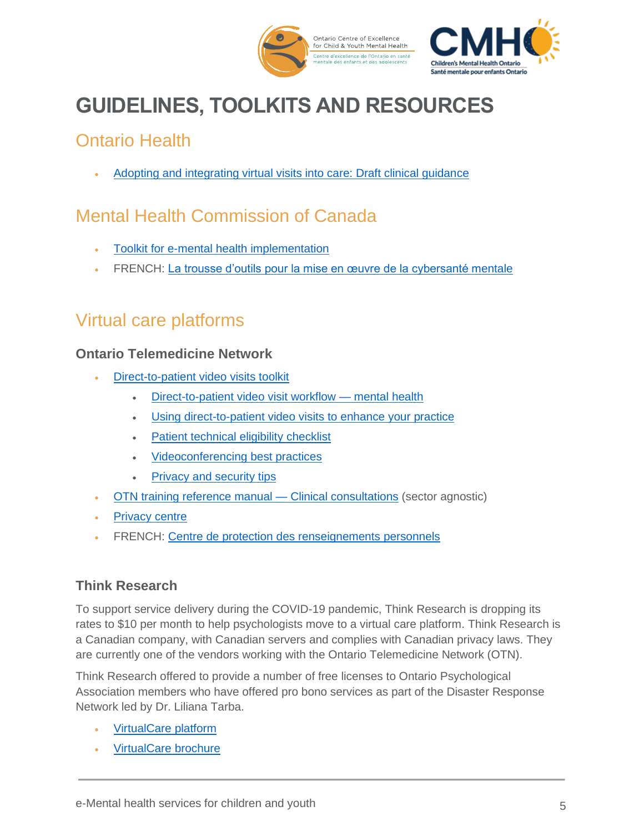

# <span id="page-4-0"></span>**GUIDELINES, TOOLKITS AND RESOURCES**

## <span id="page-4-1"></span>Ontario Health

• [Adopting and integrating virtual visits into care: Draft clinical guidance](https://quorum.hqontario.ca/Portals/0/Users/170/54/10154/Draft%20Clinical%20Guidance_Adopting%20and%20integrating%20virtual%20visits%20into%20care_V1.pdf?ver=2020-03-13-091936-370)

## <span id="page-4-2"></span>Mental Health Commission of Canada

- [Toolkit for e-mental health implementation](https://www.mentalhealthcommission.ca/English/media/4137)
- FRENCH: [La trousse d'outils pour la mise en œuvre de la cybersanté mentale](https://www.mentalhealthcommission.ca/Francais/media/4137)

## <span id="page-4-3"></span>Virtual care platforms

#### <span id="page-4-4"></span>**Ontario Telemedicine Network**

- [Direct-to-patient](https://training.otn.ca/course/view.php?id=10090%20) video visits toolkit
	- [Direct-to-patient video visit workflow](https://training.otn.ca/pluginfile.php/43304/mod_resource/content/3/Mental%20Health%20Workflow%20191220.pdf) mental health
	- [Using direct-to-patient video visits to enhance your practice](https://training.otn.ca/pluginfile.php/43731/mod_resource/content/2/Using%20DTP%20to%20enhance%20practice%20191220.pdf)
	- [Patient technical eligibility checklist](https://training.otn.ca/pluginfile.php/43724/mod_resource/content/5/Patient%20technical%20eligibility%20checklist%20191220.pdf)
	- [Videoconferencing best practices](https://training.otn.ca/pluginfile.php/43830/mod_resource/content/1/Videoconferencing%20Best%20Practices%20191220.pdf)
	- [Privacy and security tips](https://training.otn.ca/mod/url/view.php?id=11819)
- [OTN training reference manual —](https://training.otn.ca/pluginfile.php/44155/mod_resource/content/0/otn_training_manual_-_clinical.pdf) Clinical consultations (sector agnostic)
- **[Privacy centre](https://otn.ca/privacy-centre/)**
- FRENCH: [Centre de protection des renseignements personnels](https://otn.ca/fr/privacy-centre/)

#### <span id="page-4-5"></span>**Think Research**

To support service delivery during the COVID-19 pandemic, Think Research is dropping its rates to \$10 per month to help psychologists move to a virtual care platform. Think Research is a Canadian company, with Canadian servers and complies with Canadian privacy laws. They are currently one of the vendors working with the Ontario Telemedicine Network (OTN).

Think Research offered to provide a number of free licenses to Ontario Psychological Association members who have offered pro bono services as part of the Disaster Response Network led by Dr. Liliana Tarba.

- [VirtualCare](https://www.thinkresearch.com/ca/products/virtualcare/) platform
- [VirtualCare brochure](https://www.thinkresearch.com/ca/wp-content/uploads/sites/6/2020/03/VirtualCare_Brochure_20320394-Ontario-V5-Flat.pdf)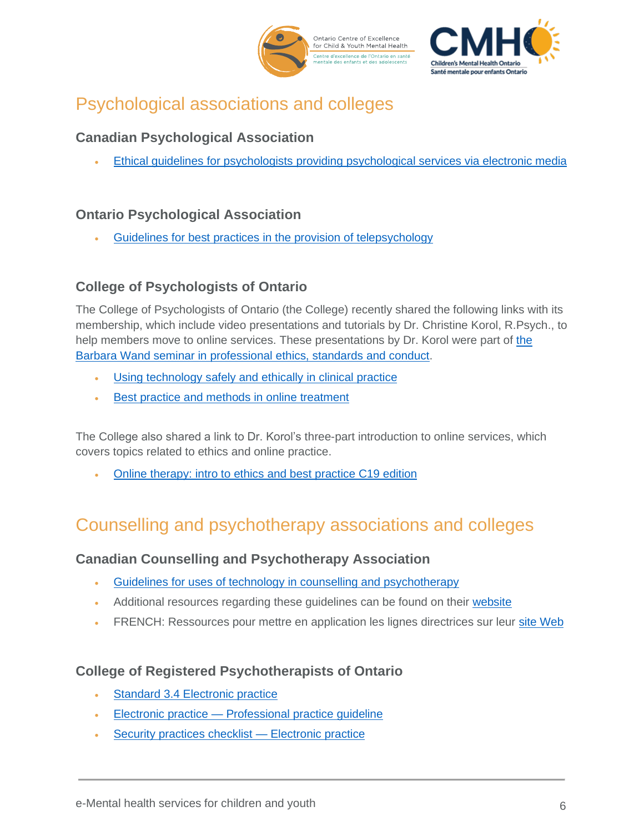



## <span id="page-5-0"></span>Psychological associations and colleges

#### <span id="page-5-1"></span>**Canadian Psychological Association**

• [Ethical guidelines for psychologists providing psychological services via electronic media](https://cpa.ca/aboutcpa/committees/ethics/psychserviceselectronically/)

#### <span id="page-5-2"></span>**Ontario Psychological Association**

• [Guidelines for best practices in the provision of telepsychology](https://www.psych.on.ca/OPA/media/Public/OPA%20Guidelines%20and%20Reviews/GUIDELINES-FOR-BEST-PRACTICES-IN-THE-PROVISION-OF-TELEPSYCHOLOGY.pdf?ext=.pdf)

#### <span id="page-5-3"></span>**College of Psychologists of Ontario**

The College of Psychologists of Ontario (the College) recently shared the following links with its membership, which include video presentations and tutorials by Dr. Christine Korol, R.Psych., to help members move to online services. These presentations by Dr. Korol were part of [the](http://www.cpo.on.ca/Barbara_Wand_Seminar_Archive.aspx)  [Barbara Wand seminar in professional ethics, standards and conduct.](http://www.cpo.on.ca/Barbara_Wand_Seminar_Archive.aspx)

- [Using technology safely and ethically in clinical practice](https://vimeo.com/251534777/74bb801c14)
- [Best practice and methods in online treatment](https://vimeo.com/251558172/daaf869e99)

The College also shared a link to Dr. Korol's three-part introduction to online services, which covers topics related to ethics and online practice.

• [Online therapy: intro to ethics and best practice C19 edition](https://www.youtube.com/playlist?list=PLFmT332_Jx4u18qpVfo5B95uWJgEnvd7A)

## <span id="page-5-4"></span>Counselling and psychotherapy associations and colleges

#### <span id="page-5-5"></span>**Canadian Counselling and Psychotherapy Association**

- [Guidelines for uses of technology in counselling and psychotherapy](https://www.ccpa-accp.ca/wp-content/uploads/2019/04/TISCGuidelines_Mar2019_EN.pdf)
- Additional resources regarding these guidelines can be found on their [website](https://www.ccpa-accp.ca/chapters/technology-counselling/)
- FRENCH: Ressources pour mettre en application les lignes directrices sur leur [site Web](https://www.ccpa-accp.ca/fr/sections/technologie-en-counseling/)

#### <span id="page-5-6"></span>**College of Registered Psychotherapists of Ontario**

- [Standard 3.4 Electronic practice](https://www.crpo.ca/standard-3-4-electronic-practice/)
- Electronic practice [Professional practice guideline](https://www.crpo.ca/wp-content/uploads/2019/03/FINAL-Electronic-Practice-Guideline-approved-01MAR2019.pdf)
- [Security practices checklist —](https://www.crpo.ca/wp-content/uploads/2019/03/FINAL-Security-Practices-Checklist-for-Electronic-Practice-Guideline-approved-01MAR2019.pdf) Electronic practice